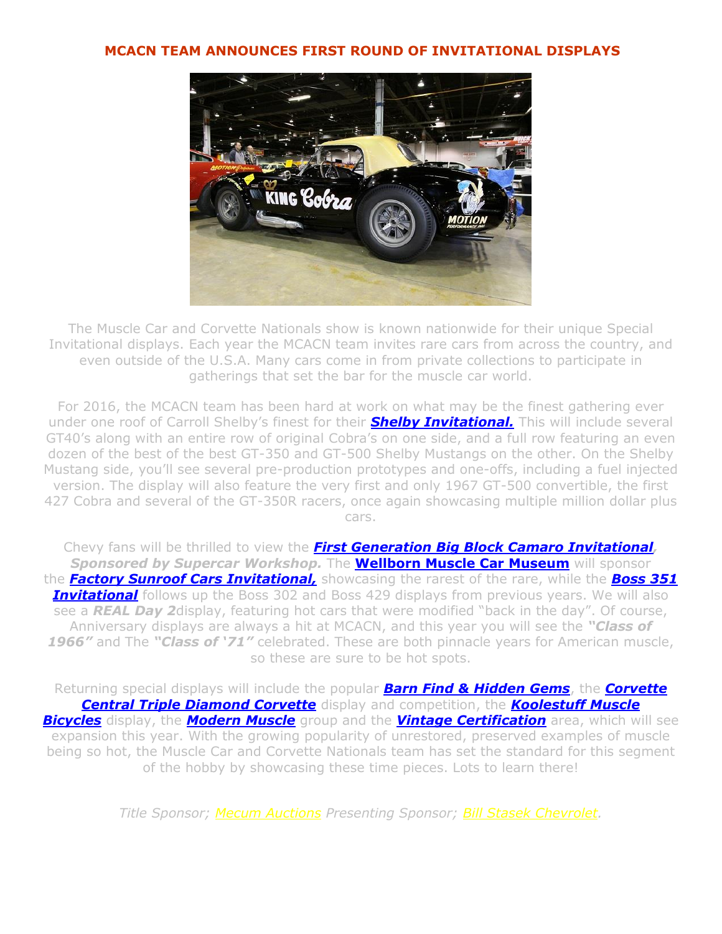## **MCACN TEAM ANNOUNCES FIRST ROUND OF INVITATIONAL DISPLAYS**



The Muscle Car and Corvette Nationals show is known nationwide for their unique Special Invitational displays. Each year the MCACN team invites rare cars from across the country, and even outside of the U.S.A. Many cars come in from private collections to participate in gatherings that set the bar for the muscle car world.

For 2016, the MCACN team has been hard at work on what may be the finest gathering ever under one roof of Carroll Shelby's finest for their *[Shelby Invitational.](http://www.mcacn.com/features.htm)* This will include several GT40's along with an entire row of original Cobra's on one side, and a full row featuring an even dozen of the best of the best GT-350 and GT-500 Shelby Mustangs on the other. On the Shelby Mustang side, you'll see several pre-production prototypes and one-offs, including a fuel injected version. The display will also feature the very first and only 1967 GT-500 convertible, the first 427 Cobra and several of the GT-350R racers, once again showcasing multiple million dollar plus cars.

Chevy fans will be thrilled to view the *[First Generation Big Block Camaro Invitational,](http://www.features.htm/) Sponsored by Supercar Workshop.* The **[Wellborn](http://www.wellbornmusclecarmuseum.com/) Muscle Car Museum** will sponsor the *[Factory Sunroof Cars Invitational,](http://www.features.htm/)* showcasing the rarest of the rare, while the *[Boss 351](http://www.features.htm/)*  **[Invitational](http://www.features.htm/)** follows up the Boss 302 and Boss 429 displays from previous years. We will also see a *REAL Day 2*display, featuring hot cars that were modified "back in the day". Of course, Anniversary displays are always a hit at MCACN, and this year you will see the *"Class of 1966"* and The *"Class of '71"* celebrated. These are both pinnacle years for American muscle, so these are sure to be hot spots.

Returning special displays will include the popular *[Barn Find & Hidden Gems](http://www.features.htm/)*, the *[Corvette](http://www.mcacn.com/diamond.htm)  [Central Triple Diamond Corvette](http://www.mcacn.com/diamond.htm)* display and competition, the *[Koolestuff](http://www.koolestuff.com/) [Muscle](http://www.features.htm/)  [Bicycles](http://www.features.htm/)* display, the *[Modern Muscle](http://www.features.htm/)* group and the *[Vintage Certification](http://www.features.htm/)* area, which will see expansion this year. With the growing popularity of unrestored, preserved examples of muscle being so hot, the Muscle Car and Corvette Nationals team has set the standard for this segment of the hobby by showcasing these time pieces. Lots to learn there!

*Title Sponsor; [Mecum Auctions](http://www.mecum.com/) Presenting Sponsor; [Bill Stasek Chevrolet.](http://www.stasekchevrolet.com/)*